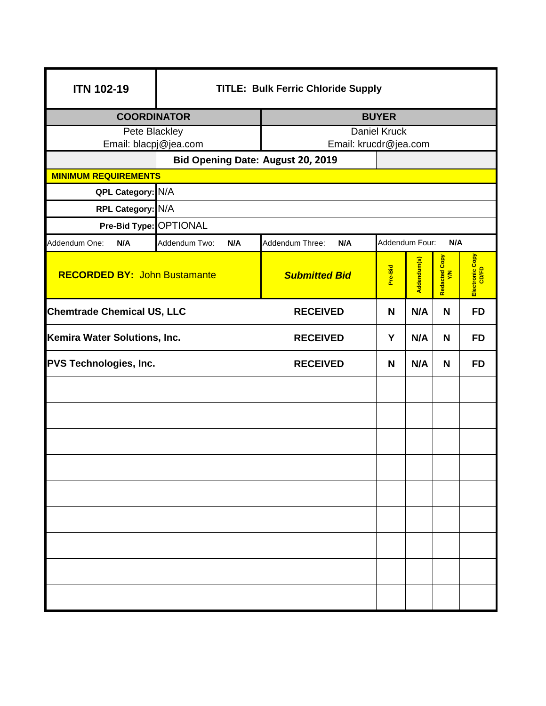| <b>ITN 102-19</b>                   | <b>TITLE: Bulk Ferric Chloride Supply</b> |                                   |                       |             |                    |                          |
|-------------------------------------|-------------------------------------------|-----------------------------------|-----------------------|-------------|--------------------|--------------------------|
| <b>COORDINATOR</b>                  |                                           | <b>BUYER</b>                      |                       |             |                    |                          |
| <b>Pete Blackley</b>                |                                           | <b>Daniel Kruck</b>               |                       |             |                    |                          |
| Email: blacpj@jea.com               |                                           |                                   | Email: krucdr@jea.com |             |                    |                          |
| <b>MINIMUM REQUIREMENTS</b>         |                                           | Bid Opening Date: August 20, 2019 |                       |             |                    |                          |
| QPL Category: N/A                   |                                           |                                   |                       |             |                    |                          |
| RPL Category: N/A                   |                                           |                                   |                       |             |                    |                          |
| Pre-Bid Type: OPTIONAL              |                                           |                                   |                       |             |                    |                          |
| Addendum One:<br>N/A                | Addendum Two:<br>N/A                      | Addendum Three:<br>N/A            | Addendum Four:<br>N/A |             |                    |                          |
| <b>RECORDED BY: John Bustamante</b> |                                           | <b>Submitted Bid</b>              | Pre-Bid               | Addendum(s) | Copy<br>Redacted C | Electronic Copy<br>CD/FD |
| <b>Chemtrade Chemical US, LLC</b>   |                                           | <b>RECEIVED</b>                   | N                     | N/A         | N                  | <b>FD</b>                |
| Kemira Water Solutions, Inc.        |                                           | <b>RECEIVED</b>                   | Y                     | N/A         | N                  | <b>FD</b>                |
| <b>PVS Technologies, Inc.</b>       |                                           | <b>RECEIVED</b>                   | N                     | N/A         | N                  | <b>FD</b>                |
|                                     |                                           |                                   |                       |             |                    |                          |
|                                     |                                           |                                   |                       |             |                    |                          |
|                                     |                                           |                                   |                       |             |                    |                          |
|                                     |                                           |                                   |                       |             |                    |                          |
|                                     |                                           |                                   |                       |             |                    |                          |
|                                     |                                           |                                   |                       |             |                    |                          |
|                                     |                                           |                                   |                       |             |                    |                          |
|                                     |                                           |                                   |                       |             |                    |                          |
|                                     |                                           |                                   |                       |             |                    |                          |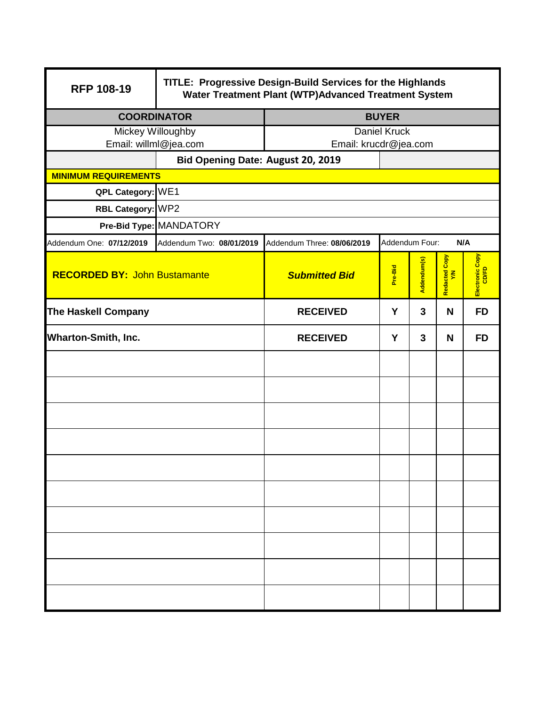| <b>RFP 108-19</b>                                                | TITLE: Progressive Design-Build Services for the Highlands<br>Water Treatment Plant (WTP)Advanced Treatment System |                                              |                       |             |                                  |                          |
|------------------------------------------------------------------|--------------------------------------------------------------------------------------------------------------------|----------------------------------------------|-----------------------|-------------|----------------------------------|--------------------------|
| <b>COORDINATOR</b>                                               |                                                                                                                    | <b>BUYER</b>                                 |                       |             |                                  |                          |
| Mickey Willoughby                                                |                                                                                                                    | <b>Daniel Kruck</b><br>Email: krucdr@jea.com |                       |             |                                  |                          |
|                                                                  | Email: willml@jea.com                                                                                              |                                              |                       |             |                                  |                          |
| Bid Opening Date: August 20, 2019<br><b>MINIMUM REQUIREMENTS</b> |                                                                                                                    |                                              |                       |             |                                  |                          |
| QPL Category: WE1                                                |                                                                                                                    |                                              |                       |             |                                  |                          |
| RBL Category: WP2                                                |                                                                                                                    |                                              |                       |             |                                  |                          |
|                                                                  | Pre-Bid Type: MANDATORY                                                                                            |                                              |                       |             |                                  |                          |
| Addendum One: 07/12/2019                                         | Addendum Two: 08/01/2019                                                                                           | Addendum Three: 08/06/2019                   | Addendum Four:<br>N/A |             |                                  |                          |
| <b>RECORDED BY: John Bustamante</b>                              |                                                                                                                    | <b>Submitted Bid</b>                         | Pre-Bid               | Addendum(s) | Copy<br>Redacted <b>(</b><br>Y/N | Electronic Copy<br>CD/FD |
| <b>The Haskell Company</b>                                       |                                                                                                                    | <b>RECEIVED</b>                              | Y                     | 3           | N                                | <b>FD</b>                |
| <b>Wharton-Smith, Inc.</b>                                       |                                                                                                                    | <b>RECEIVED</b>                              | Y                     | 3           | N                                | <b>FD</b>                |
|                                                                  |                                                                                                                    |                                              |                       |             |                                  |                          |
|                                                                  |                                                                                                                    |                                              |                       |             |                                  |                          |
|                                                                  |                                                                                                                    |                                              |                       |             |                                  |                          |
|                                                                  |                                                                                                                    |                                              |                       |             |                                  |                          |
|                                                                  |                                                                                                                    |                                              |                       |             |                                  |                          |
|                                                                  |                                                                                                                    |                                              |                       |             |                                  |                          |
|                                                                  |                                                                                                                    |                                              |                       |             |                                  |                          |
|                                                                  |                                                                                                                    |                                              |                       |             |                                  |                          |
|                                                                  |                                                                                                                    |                                              |                       |             |                                  |                          |
|                                                                  |                                                                                                                    |                                              |                       |             |                                  |                          |